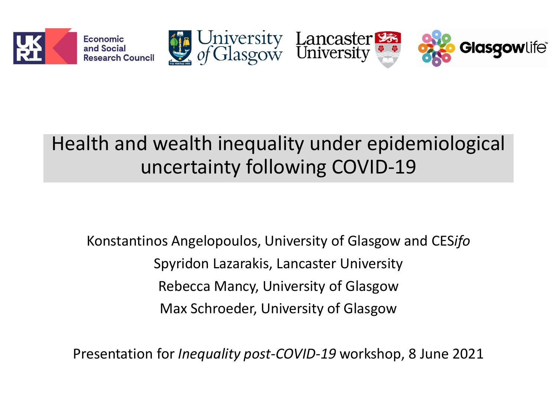

# Health and wealth inequality under epidemiological uncertainty following COVID-19

Konstantinos Angelopoulos, University of Glasgow and CES*ifo* Spyridon Lazarakis, Lancaster University Rebecca Mancy, University of Glasgow Max Schroeder, University of Glasgow

Presentation for *Inequality post-COVID-19* workshop, 8 June 2021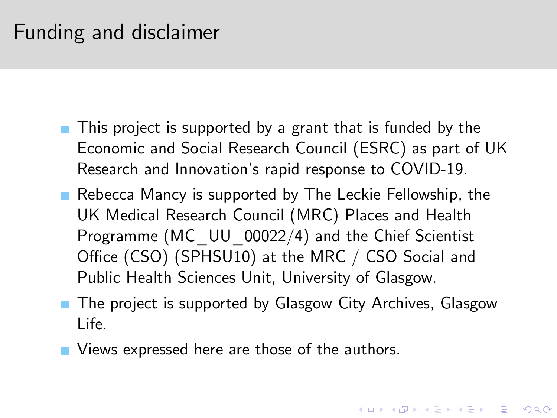## Funding and disclaimer

- This project is supported by a grant that is funded by the Economic and Social Research Council (ESRC) as part of UK Research and Innovation's rapid response to COVID-19.
- Rebecca Mancy is supported by The Leckie Fellowship, the UK Medical Research Council (MRC) Places and Health Programme (MC UU 00022/4) and the Chief Scientist Office (CSO) (SPHSU10) at the MRC / CSO Social and Public Health Sciences Unit, University of Glasgow.
- **The project is supported by Glasgow City Archives, Glasgow** Life.

**KORK (FRAGE) EL POLO** 

<span id="page-1-0"></span>**Notally** Views expressed here are those of the authors.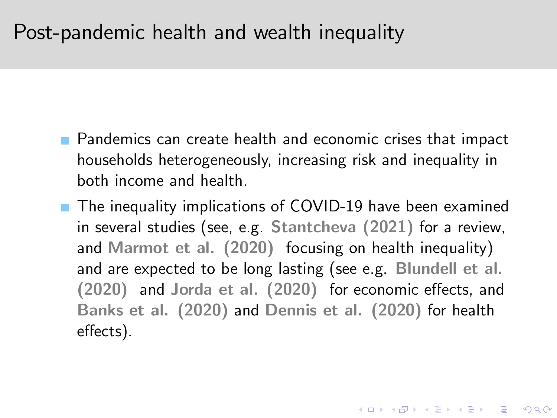#### Post-pandemic health and wealth inequality

- **Pandemics can create health and economic crises that impact** households heterogeneously, increasing risk and inequality in both income and health.
- **The inequality implications of COVID-19 have been examined** in several studies (see, e.g. Stantcheva (2021) for a review, and Marmot et al. (2020) focusing on health inequality) and are expected to be long lasting (see e.g. Blundell et al.  $(2020)$  and Jorda et al.  $(2020)$  for economic effects, and Banks et al. (2020) and Dennis et al. (2020) for health effects).

KID KA KERKER KID KO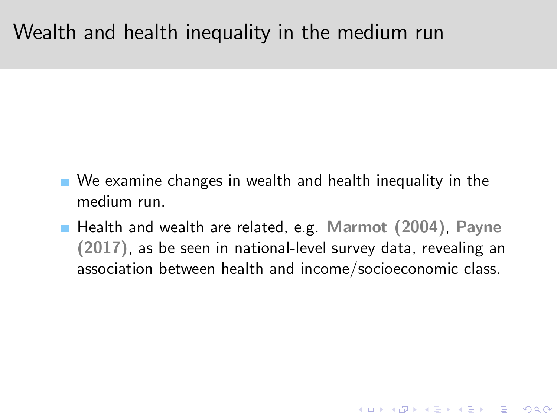## Wealth and health inequality in the medium run

- We examine changes in wealth and health inequality in the medium run.
- Health and wealth are related, e.g. Marmot (2004), Payne (2017), as be seen in national-level survey data, revealing an association between health and income/socioeconomic class.

**K ロ ▶ K @ ▶ K 할 X X 할 X 및 할 X X Q Q O**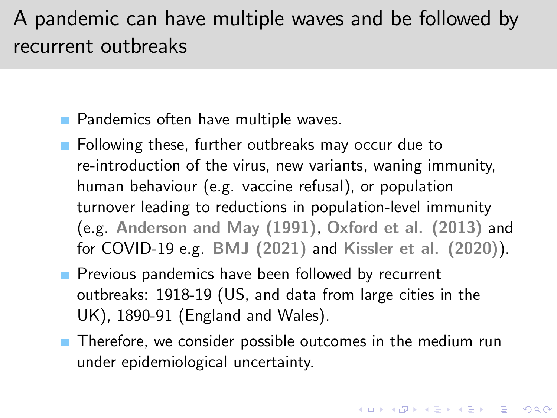# A pandemic can have multiple waves and be followed by recurrent outbreaks

**Pandemics often have multiple waves.** 

- **Following these, further outbreaks may occur due to** re-introduction of the virus, new variants, waning immunity, human behaviour (e.g. vaccine refusal), or population turnover leading to reductions in population-level immunity (e.g. Anderson and May (1991), Oxford et al. (2013) and for COVID-19 e.g. BMJ (2021) and Kissler et al. (2020)).
- **Previous pandemics have been followed by recurrent** outbreaks: 1918-19 (US, and data from large cities in the UK), 1890-91 (England and Wales).
- <span id="page-4-0"></span>**Therefore, we consider possible outcomes in the medium run** under epidemiological uncertainty.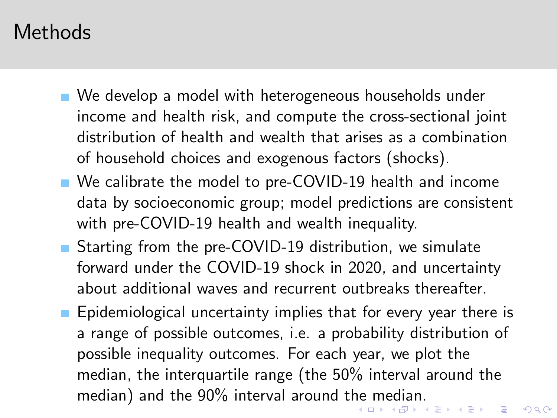## Methods

- We develop a model with heterogeneous households under income and health risk, and compute the cross-sectional joint distribution of health and wealth that arises as a combination of household choices and exogenous factors (shocks).
- We calibrate the model to pre-COVID-19 health and income data by socioeconomic group; model predictions are consistent with pre-COVID-19 health and wealth inequality.
- Starting from the pre-COVID-19 distribution, we simulate forward under the COVID-19 shock in 2020, and uncertainty about additional waves and recurrent outbreaks thereafter.
- <span id="page-5-0"></span>**Epidemiological uncertainty implies that for every year there is** a range of possible outcomes, i.e. a probability distribution of possible inequality outcomes. For each year, we plot the median, the interquartile range (the 50% interval around the median) and t[he](#page-4-0) 90% interval around the [m](#page-6-0)[e](#page-4-0)[dia](#page-5-0)[n](#page-6-0)[.](#page-1-0)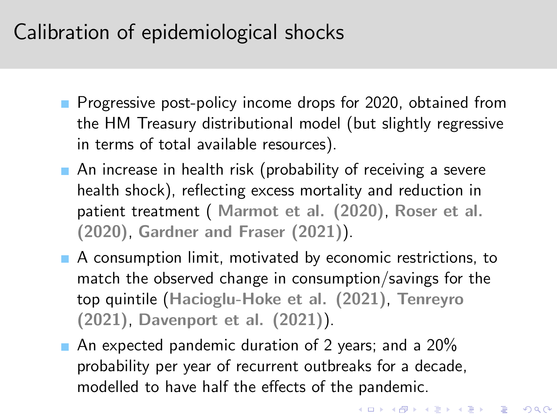# Calibration of epidemiological shocks

- **Progressive post-policy income drops for 2020, obtained from** the HM Treasury distributional model (but slightly regressive in terms of total available resources).
- An increase in health risk (probability of receiving a severe health shock), reflecting excess mortality and reduction in patient treatment ( Marmot et al. (2020), Roser et al. (2020), Gardner and Fraser (2021)).
- A consumption limit, motivated by economic restrictions, to match the observed change in consumption/savings for the top quintile (Hacioglu-Hoke et al. (2021), Tenreyro (2021), Davenport et al. (2021)).
- <span id="page-6-0"></span>An expected pandemic duration of 2 years; and a  $20\%$ probability per year of recurrent outbreaks for a decade, modelled to have half the effects of the pandemic.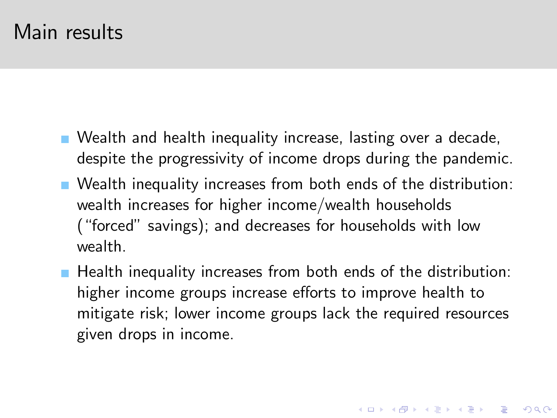#### Main results

- **Nealth and health inequality increase, lasting over a decade,** despite the progressivity of income drops during the pandemic.
- **Nealth inequality increases from both ends of the distribution:** wealth increases for higher income/wealth households ("forced" savings); and decreases for households with low wealth.
- **Health inequality increases from both ends of the distribution:** higher income groups increase efforts to improve health to mitigate risk; lower income groups lack the required resources given drops in income.

**KORK (FRAGE) EL POLO**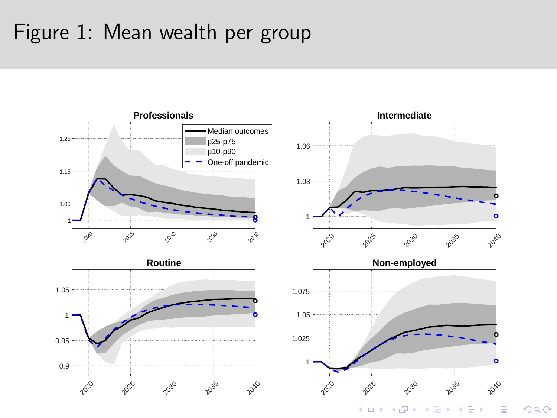## Figure 1: Mean wealth per group



 $2Q$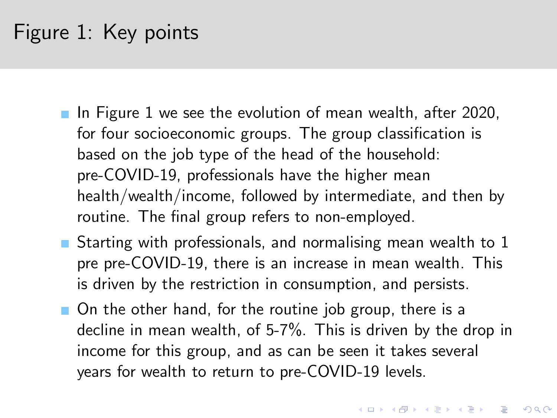# Figure 1: Key points

- In Figure 1 we see the evolution of mean wealth, after 2020, for four socioeconomic groups. The group classification is based on the job type of the head of the household: pre-COVID-19, professionals have the higher mean health/wealth/income, followed by intermediate, and then by routine. The final group refers to non-employed.
- Starting with professionals, and normalising mean wealth to  $1$ pre pre-COVID-19, there is an increase in mean wealth. This is driven by the restriction in consumption, and persists.
- On the other hand, for the routine job group, there is a decline in mean wealth, of 5-7%. This is driven by the drop in income for this group, and as can be seen it takes several years for wealth to return to pre-COVID-19 levels.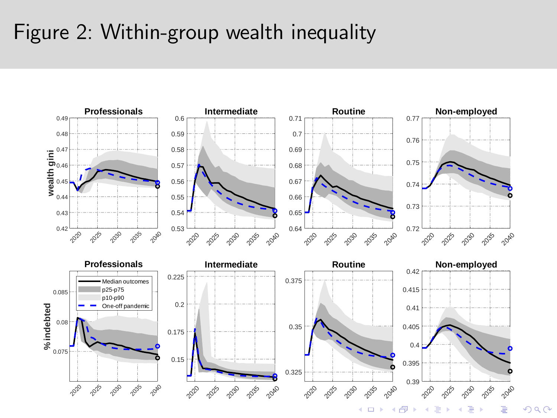# Figure 2: Within-group wealth inequality



 $290$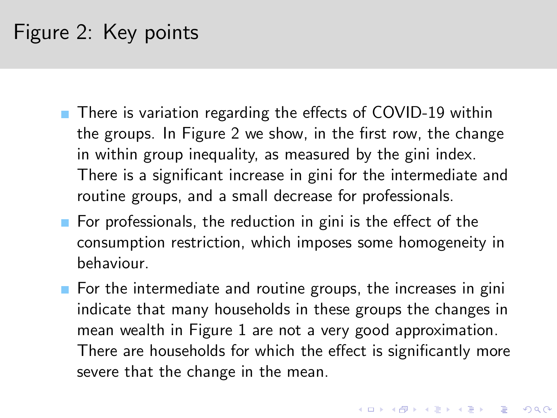# Figure 2: Key points

- $\blacksquare$  There is variation regarding the effects of COVID-19 within the groups. In Figure 2 we show, in the first row, the change in within group inequality, as measured by the gini index. There is a significant increase in gini for the intermediate and routine groups, and a small decrease for professionals.
- For professionals, the reduction in gini is the effect of the consumption restriction, which imposes some homogeneity in behaviour.
- $\blacksquare$  For the intermediate and routine groups, the increases in gini indicate that many households in these groups the changes in mean wealth in Figure 1 are not a very good approximation. There are households for which the effect is significantly more severe that the change in the mean.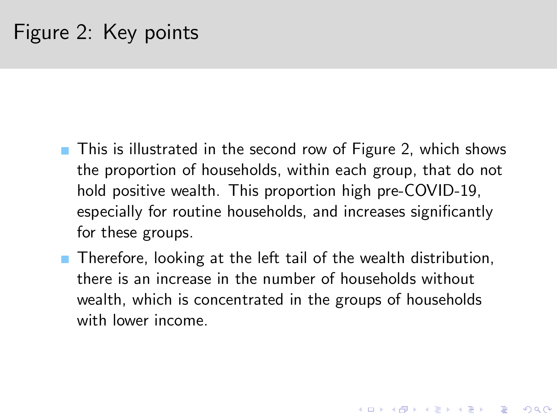- **This is illustrated in the second row of Figure 2, which shows** the proportion of households, within each group, that do not hold positive wealth. This proportion high pre-COVID-19, especially for routine households, and increases significantly for these groups.
- **Therefore, looking at the left tail of the wealth distribution,** there is an increase in the number of households without wealth, which is concentrated in the groups of households with lower income.

**KORKA SERKER ORA**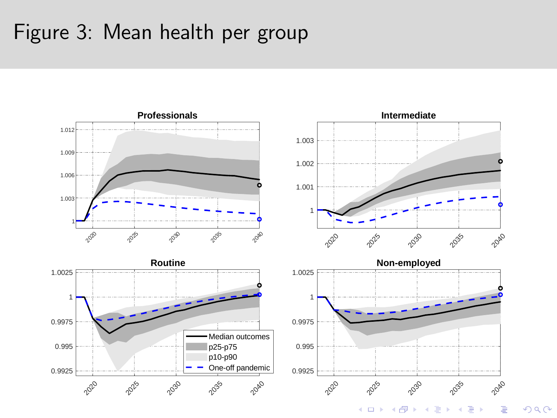## Figure 3: Mean health per group



 $2Q$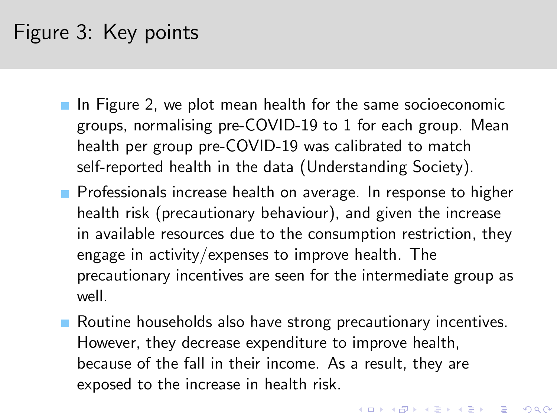# Figure 3: Key points

- $\blacksquare$  In Figure 2, we plot mean health for the same socioeconomic groups, normalising pre-COVID-19 to 1 for each group. Mean health per group pre-COVID-19 was calibrated to match self-reported health in the data (Understanding Society).
- **Professionals increase health on average. In response to higher** health risk (precautionary behaviour), and given the increase in available resources due to the consumption restriction, they engage in activity/expenses to improve health. The precautionary incentives are seen for the intermediate group as well.
- Routine households also have strong precautionary incentives. However, they decrease expenditure to improve health, because of the fall in their income. As a result, they are exposed to the increase in health risk.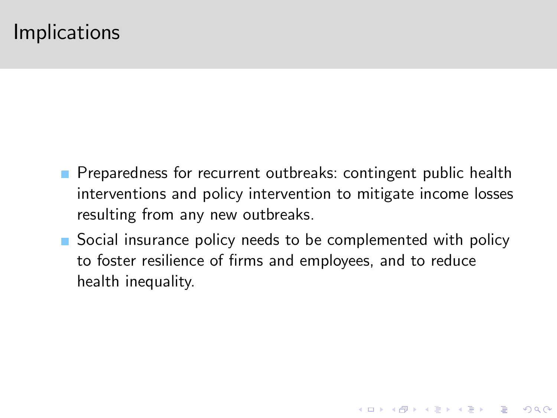### Implications

- **Preparedness for recurrent outbreaks: contingent public health** interventions and policy intervention to mitigate income losses resulting from any new outbreaks.
- Social insurance policy needs to be complemented with policy to foster resilience of firms and employees, and to reduce health inequality.

**KOD KARD KED KED E VOOR**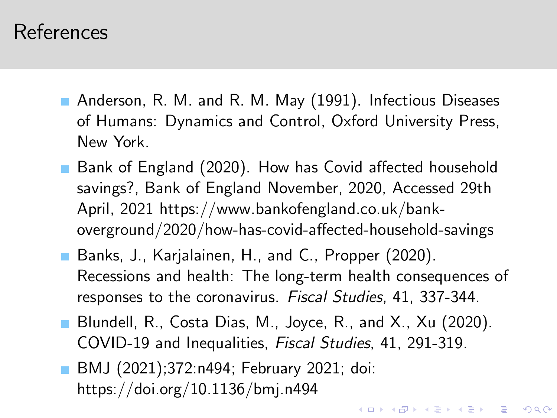- Anderson, R. M. and R. M. May (1991). Infectious Diseases of Humans: Dynamics and Control, Oxford University Press, New York.
- **Bank of England (2020). How has Covid affected household** savings?, Bank of England November, 2020, Accessed 29th April, 2021 https://www.bankofengland.co.uk/bank $overground/2020/how-has-covid-affected-household-savings$
- Banks, J., Karjalainen, H., and C., Propper (2020). Recessions and health: The long-term health consequences of responses to the coronavirus. Fiscal Studies, 41, 337-344.
- Blundell, R., Costa Dias, M., Joyce, R., and X., Xu (2020). COVID-19 and Inequalities, Fiscal Studies, 41, 291-319.

**K ロ ▶ K @ ▶ K 할 X X 할 X 및 할 X X Q Q O** 

<span id="page-16-0"></span>**BMJ** (2021);372:n494; February 2021; doi: https://doi.org/10.1136/bmj.n494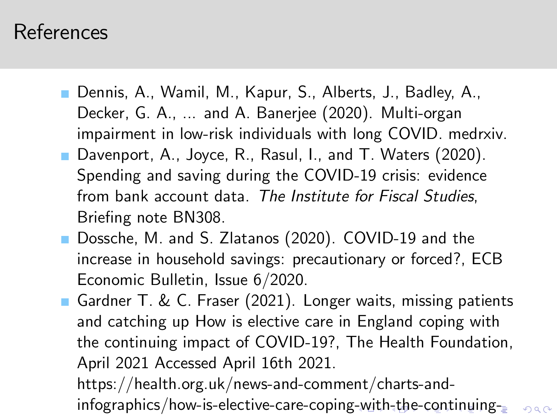- Dennis, A., Wamil, M., Kapur, S., Alberts, J., Badley, A., Decker, G. A., ... and A. Banerjee (2020). Multi-organ impairment in low-risk individuals with long COVID. medrxiv.
- Davenport, A., Joyce, R., Rasul, I., and T. Waters (2020). Spending and saving during the COVID-19 crisis: evidence from bank account data. The Institute for Fiscal Studies, Briefing note BN308.
- Dossche, M. and S. Zlatanos (2020). COVID-19 and the increase in household savings: precautionary or forced?, ECB Economic Bulletin, Issue 6/2020.
- Gardner T. & C. Fraser (2021). Longer waits, missing patients and catching up How is elective care in England coping with the continuing impact of COVID-19?, The Health Foundation, April 2021 Accessed April 16th 2021.

<span id="page-17-0"></span>https://health.org.uk/news-and-comment/charts-and-infographics/how-is-elective-care-coping[-w](#page-16-0)i[th](#page-17-0)[-](#page-16-0)th[e-](#page-18-0)[co](#page-1-0)[nt](#page-19-0)[inu](#page-1-0)[in](#page-19-0)[g-](#page-1-0)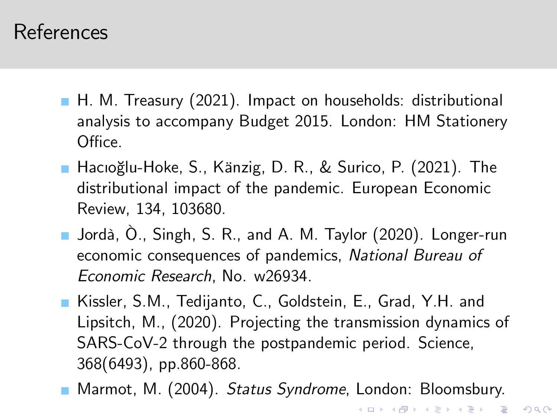- H. M. Treasury (2021). Impact on households: distributional analysis to accompany Budget 2015. London: HM Stationery Office.
- Hacıoğlu-Hoke, S., Känzig, D. R., & Surico, P. (2021). The distributional impact of the pandemic. European Economic Review, 134, 103680.
- Jordà, Ò., Singh, S. R., and A. M. Taylor (2020). Longer-run economic consequences of pandemics, National Bureau of Economic Research, No. w26934.
- Kissler, S.M., Tedijanto, C., Goldstein, E., Grad, Y.H. and Lipsitch, M., (2020). Projecting the transmission dynamics of SARS-CoV-2 through the postpandemic period. Science, 368(6493), pp.860-868.
- <span id="page-18-0"></span>**Marmot, M. (2004).** Status Syndrome, London: Bloomsbury.

**KOD KARD KED KED E VOOR**